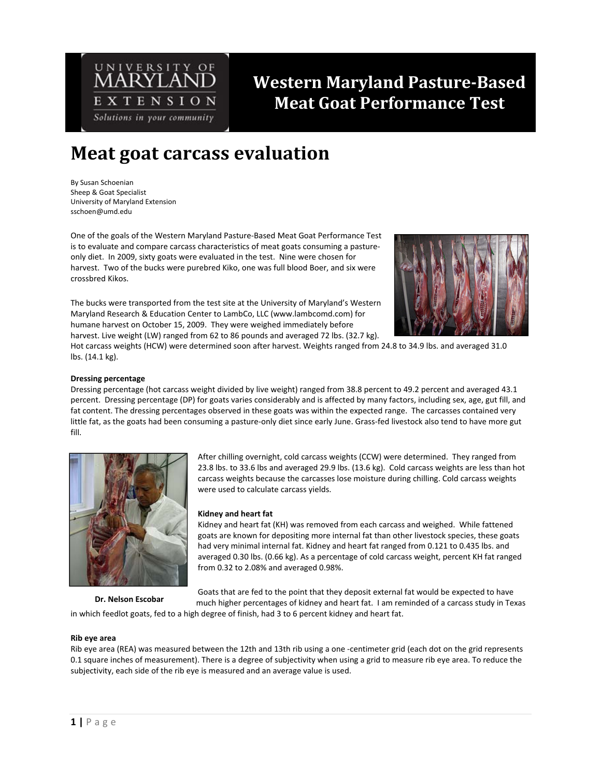

# **Western Maryland Pasture-Based Meat Goat Performance Test**

## **Meat goat carcass evaluation**

By Susan Schoenian Sheep & Goat Specialist University of Maryland Extension sschoen@umd.edu

One of the goals of the Western Maryland Pasture‐Based Meat Goat Performance Test is to evaluate and compare carcass characteristics of meat goats consuming a pasture‐ only diet. In 2009, sixty goats were evaluated in the test. Nine were chosen for harvest. Two of the bucks were purebred Kiko, one was full blood Boer, and six were crossbred Kikos.

The bucks were transported from the test site at the University of Maryland's Western Maryland Research & Education Center to LambCo, LLC (www.lambcomd.com) for humane harvest on October 15, 2009. They were weighed immediately before harvest. Live weight (LW) ranged from 62 to 86 pounds and averaged 72 lbs. (32.7 kg).



Hot carcass weights (HCW) were determined soon after harvest. Weights ranged from 24.8 to 34.9 lbs. and averaged 31.0 lbs. (14.1 kg).

#### **Dressing percentage**

Dressing percentage (hot carcass weight divided by live weight) ranged from 38.8 percent to 49.2 percent and averaged 43.1 percent. Dressing percentage (DP) for goats varies considerably and is affected by many factors, including sex, age, gut fill, and fat content. The dressing percentages observed in these goats was within the expected range. The carcasses contained very little fat, as the goats had been consuming a pasture-only diet since early June. Grass-fed livestock also tend to have more gut fill.



After chilling overnight, cold carcass weights (CCW) were determined. They ranged from 23.8 lbs. to 33.6 lbs and averaged 29.9 lbs. (13.6 kg). Cold carcass weights are less than hot carcass weights because the carcasses lose moisture during chilling. Cold carcass weights were used to calculate carcass yields.

#### **Kidney and heart fat**

Kidney and heart fat (KH) was removed from each carcass and weighed. While fattened goats are known for depositing more internal fat than other livestock species, these goats had very minimal internal fat. Kidney and heart fat ranged from 0.121 to 0.435 lbs. and averaged 0.30 lbs. (0.66 kg). As a percentage of cold carcass weight, percent KH fat ranged from 0.32 to 2.08% and averaged 0.98%.

**Dr. Nelson Escobar**

Goats that are fed to the point that they deposit external fat would be expected to have much higher percentages of kidney and heart fat. I am reminded of a carcass study in Texas

in which feedlot goats, fed to a high degree of finish, had 3 to 6 percent kidney and heart fat.

#### **Rib eye area**

Rib eye area (REA) was measured between the 12th and 13th rib using a one ‐centimeter grid (each dot on the grid represents 0.1 square inches of measurement). There is a degree of subjectivity when using a grid to measure rib eye area. To reduce the subjectivity, each side of the rib eye is measured and an average value is used.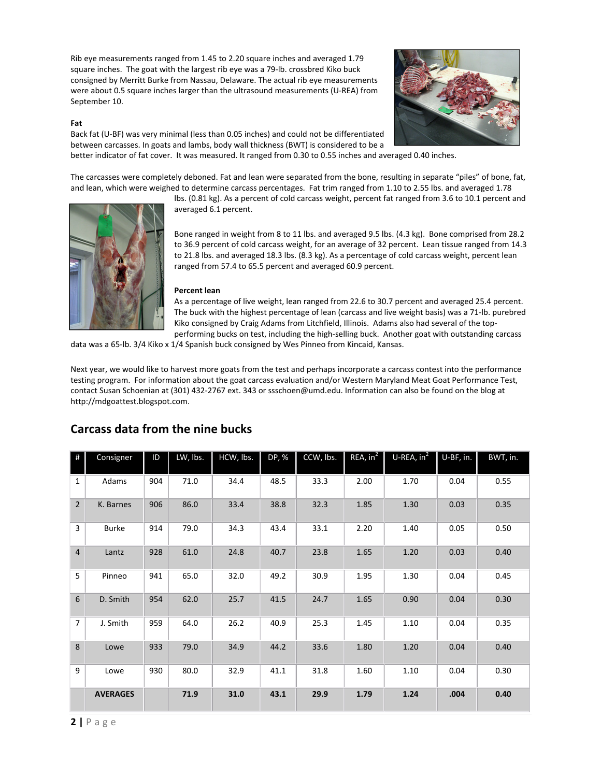Rib eye measurements ranged from 1.45 to 2.20 square inches and averaged 1.79 square inches. The goat with the largest rib eye was a 79‐lb. crossbred Kiko buck consigned by Merritt Burke from Nassau, Delaware. The actual rib eye measurements were about 0.5 square inches larger than the ultrasound measurements (U‐REA) from September 10.

#### **Fat**

Back fat (U‐BF) was very minimal (less than 0.05 inches) and could not be differentiated between carcasses. In goats and lambs, body wall thickness (BWT) is considered to be a better indicator of fat cover. It was measured. It ranged from 0.30 to 0.55 inches and averaged 0.40 inches.

The carcasses were completely deboned. Fat and lean were separated from the bone, resulting in separate "piles" of bone, fat, and lean, which were weighed to determine carcass percentages. Fat trim ranged from 1.10 to 2.55 lbs. and averaged 1.78

lbs. (0.81 kg). As a percent of cold carcass weight, percent fat ranged from 3.6 to 10.1 percent and averaged 6.1 percent.

Bone ranged in weight from 8 to 11 lbs. and averaged 9.5 lbs. (4.3 kg). Bone comprised from 28.2 to 36.9 percent of cold carcass weight, for an average of 32 percent. Lean tissue ranged from 14.3 to 21.8 lbs. and averaged 18.3 lbs. (8.3 kg). As a percentage of cold carcass weight, percent lean ranged from 57.4 to 65.5 percent and averaged 60.9 percent.

#### **Percent lean**

As a percentage of live weight, lean ranged from 22.6 to 30.7 percent and averaged 25.4 percent. The buck with the highest percentage of lean (carcass and live weight basis) was a 71‐lb. purebred Kiko consigned by Craig Adams from Litchfield, Illinois. Adams also had several of the top‐ performing bucks on test, including the high-selling buck. Another goat with outstanding carcass

data was a 65‐lb. 3/4 Kiko x 1/4 Spanish buck consigned by Wes Pinneo from Kincaid, Kansas.

Next year, we would like to harvest more goats from the test and perhaps incorporate a carcass contest into the performance testing program. For information about the goat carcass evaluation and/or Western Maryland Meat Goat Performance Test, contact Susan Schoenian at (301) 432-2767 ext. 343 or ssschoen@umd.edu. Information can also be found on the blog at http://mdgoattest.blogspot.com.

| #              | Consigner       | ID  | LW, lbs. | HCW, Ibs. | DP, % | CCW, Ibs. | REA, in <sup>2</sup> | $U$ -REA, $in^2$ | U-BF, in. | BWT, in. |
|----------------|-----------------|-----|----------|-----------|-------|-----------|----------------------|------------------|-----------|----------|
| $\mathbf{1}$   | Adams           | 904 | 71.0     | 34.4      | 48.5  | 33.3      | 2.00                 | 1.70             | 0.04      | 0.55     |
| $\overline{2}$ | K. Barnes       | 906 | 86.0     | 33.4      | 38.8  | 32.3      | 1.85                 | 1.30             | 0.03      | 0.35     |
| $\overline{3}$ | <b>Burke</b>    | 914 | 79.0     | 34.3      | 43.4  | 33.1      | 2.20                 | 1.40             | 0.05      | 0.50     |
| $\overline{4}$ | Lantz           | 928 | 61.0     | 24.8      | 40.7  | 23.8      | 1.65                 | 1.20             | 0.03      | 0.40     |
| 5              | Pinneo          | 941 | 65.0     | 32.0      | 49.2  | 30.9      | 1.95                 | 1.30             | 0.04      | 0.45     |
| 6              | D. Smith        | 954 | 62.0     | 25.7      | 41.5  | 24.7      | 1.65                 | 0.90             | 0.04      | 0.30     |
| $\overline{7}$ | J. Smith        | 959 | 64.0     | 26.2      | 40.9  | 25.3      | 1.45                 | 1.10             | 0.04      | 0.35     |
| 8              | Lowe            | 933 | 79.0     | 34.9      | 44.2  | 33.6      | 1.80                 | 1.20             | 0.04      | 0.40     |
| 9              | Lowe            | 930 | 80.0     | 32.9      | 41.1  | 31.8      | 1.60                 | 1.10             | 0.04      | 0.30     |
|                | <b>AVERAGES</b> |     | 71.9     | 31.0      | 43.1  | 29.9      | 1.79                 | 1.24             | .004      | 0.40     |

### **Carcass data from the nine bucks**



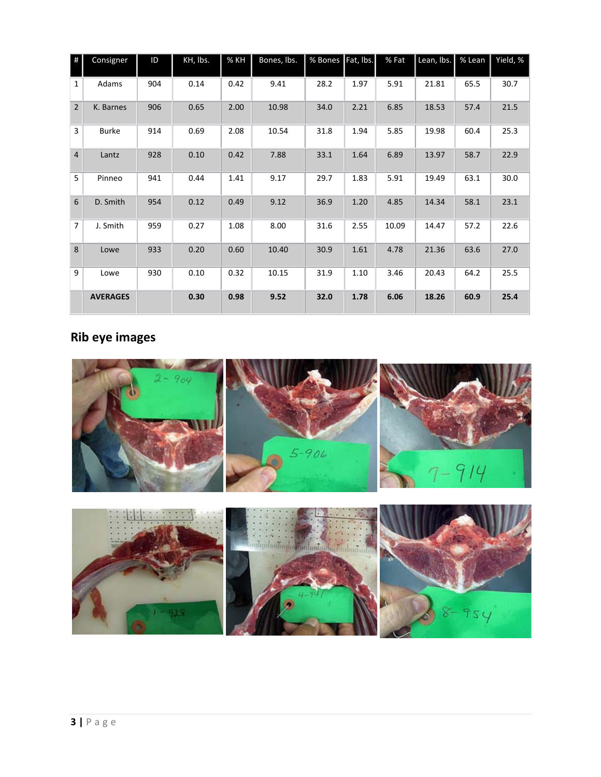| #              | Consigner       | ID  | KH, lbs. | % KH | Bones, lbs. | % Bones | Fat, Ibs. | % Fat | Lean, lbs. | % Lean | Yield, % |
|----------------|-----------------|-----|----------|------|-------------|---------|-----------|-------|------------|--------|----------|
| $\mathbf{1}$   | Adams           | 904 | 0.14     | 0.42 | 9.41        | 28.2    | 1.97      | 5.91  | 21.81      | 65.5   | 30.7     |
| $\overline{2}$ | K. Barnes       | 906 | 0.65     | 2.00 | 10.98       | 34.0    | 2.21      | 6.85  | 18.53      | 57.4   | 21.5     |
| $\overline{3}$ | <b>Burke</b>    | 914 | 0.69     | 2.08 | 10.54       | 31.8    | 1.94      | 5.85  | 19.98      | 60.4   | 25.3     |
| $\overline{4}$ | Lantz           | 928 | 0.10     | 0.42 | 7.88        | 33.1    | 1.64      | 6.89  | 13.97      | 58.7   | 22.9     |
| 5              | Pinneo          | 941 | 0.44     | 1.41 | 9.17        | 29.7    | 1.83      | 5.91  | 19.49      | 63.1   | 30.0     |
| 6              | D. Smith        | 954 | 0.12     | 0.49 | 9.12        | 36.9    | 1.20      | 4.85  | 14.34      | 58.1   | 23.1     |
| $\overline{7}$ | J. Smith        | 959 | 0.27     | 1.08 | 8.00        | 31.6    | 2.55      | 10.09 | 14.47      | 57.2   | 22.6     |
| 8              | Lowe            | 933 | 0.20     | 0.60 | 10.40       | 30.9    | 1.61      | 4.78  | 21.36      | 63.6   | 27.0     |
| 9              | Lowe            | 930 | 0.10     | 0.32 | 10.15       | 31.9    | 1.10      | 3.46  | 20.43      | 64.2   | 25.5     |
|                | <b>AVERAGES</b> |     | 0.30     | 0.98 | 9.52        | 32.0    | 1.78      | 6.06  | 18.26      | 60.9   | 25.4     |

### **Rib eye images**